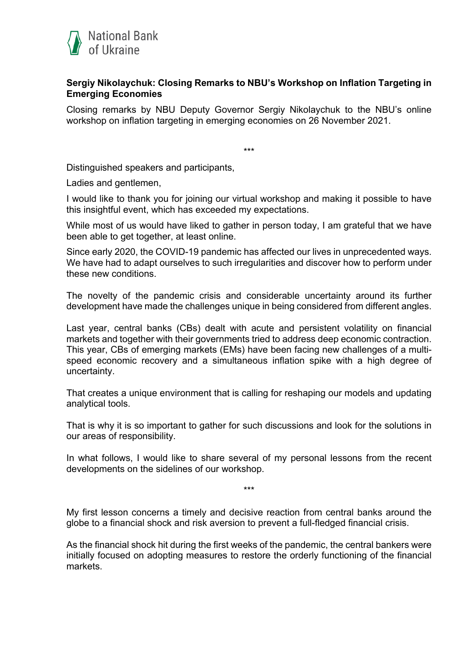

## **Sergiy Nikolaychuk: Closing Remarks to NBU's Workshop on Inflation Targeting in Emerging Economies**

Closing remarks by NBU Deputy Governor Sergiy Nikolaychuk to the NBU's online workshop on inflation targeting in emerging economies on 26 November 2021.

\*\*\*

Distinguished speakers and participants,

Ladies and gentlemen,

I would like to thank you for joining our virtual workshop and making it possible to have this insightful event, which has exceeded my expectations.

While most of us would have liked to gather in person today, I am grateful that we have been able to get together, at least online.

Since early 2020, the COVID-19 pandemic has affected our lives in unprecedented ways. We have had to adapt ourselves to such irregularities and discover how to perform under these new conditions.

The novelty of the pandemic crisis and considerable uncertainty around its further development have made the challenges unique in being considered from different angles.

Last year, central banks (CBs) dealt with acute and persistent volatility on financial markets and together with their governments tried to address deep economic contraction. This year, CBs of emerging markets (EMs) have been facing new challenges of a multispeed economic recovery and a simultaneous inflation spike with a high degree of uncertainty.

That creates a unique environment that is calling for reshaping our models and updating analytical tools.

That is why it is so important to gather for such discussions and look for the solutions in our areas of responsibility.

In what follows, I would like to share several of my personal lessons from the recent developments on the sidelines of our workshop.

\*\*\*

My first lesson concerns a timely and decisive reaction from central banks around the globe to a financial shock and risk aversion to prevent a full-fledged financial crisis.

As the financial shock hit during the first weeks of the pandemic, the central bankers were initially focused on adopting measures to restore the orderly functioning of the financial markets.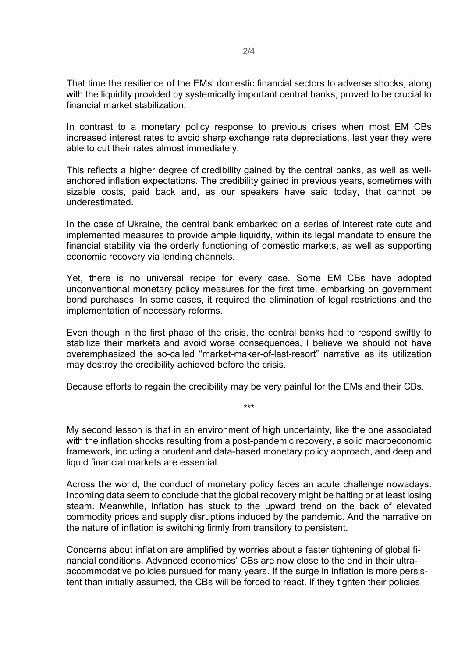That time the resilience of the EMs' domestic financial sectors to adverse shocks, along with the liquidity provided by systemically important central banks, proved to be crucial to financial market stabilization.

In contrast to a monetary policy response to previous crises when most EM CBs increased interest rates to avoid sharp exchange rate depreciations, last year they were able to cut their rates almost immediately.

This reflects a higher degree of credibility gained by the central banks, as well as wellanchored inflation expectations. The credibility gained in previous years, sometimes with sizable costs, paid back and, as our speakers have said today, that cannot be underestimated.

In the case of Ukraine, the central bank embarked on a series of interest rate cuts and implemented measures to provide ample liquidity, within its legal mandate to ensure the financial stability via the orderly functioning of domestic markets, as well as supporting economic recovery via lending channels.

Yet, there is no universal recipe for every case. Some EM CBs have adopted unconventional monetary policy measures for the first time, embarking on government bond purchases. In some cases, it required the elimination of legal restrictions and the implementation of necessary reforms.

Even though in the first phase of the crisis, the central banks had to respond swiftly to stabilize their markets and avoid worse consequences, I believe we should not have overemphasized the so-called "market-maker-of-last-resort" narrative as its utilization may destroy the credibility achieved before the crisis.

Because efforts to regain the credibility may be very painful for the EMs and their CBs.

\*\*\*

My second lesson is that in an environment of high uncertainty, like the one associated with the inflation shocks resulting from a post-pandemic recovery, a solid macroeconomic framework, including a prudent and data-based monetary policy approach, and deep and liquid financial markets are essential.

Across the world, the conduct of monetary policy faces an acute challenge nowadays. Incoming data seem to conclude that the global recovery might be halting or at least losing steam. Meanwhile, inflation has stuck to the upward trend on the back of elevated commodity prices and supply disruptions induced by the pandemic. And the narrative on the nature of inflation is switching firmly from transitory to persistent.

Concerns about inflation are amplified by worries about a faster tightening of global financial conditions. Advanced economies' CBs are now close to the end in their ultraaccommodative policies pursued for many years. If the surge in inflation is more persistent than initially assumed, the CBs will be forced to react. If they tighten their policies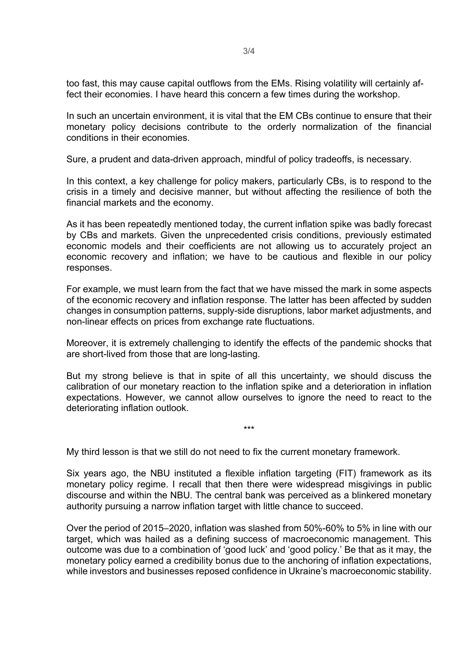too fast, this may cause capital outflows from the EMs. Rising volatility will certainly affect their economies. I have heard this concern a few times during the workshop.

In such an uncertain environment, it is vital that the EM CBs continue to ensure that their monetary policy decisions contribute to the orderly normalization of the financial conditions in their economies.

Sure, a prudent and data-driven approach, mindful of policy tradeoffs, is necessary.

In this context, a key challenge for policy makers, particularly CBs, is to respond to the crisis in a timely and decisive manner, but without affecting the resilience of both the financial markets and the economy.

As it has been repeatedly mentioned today, the current inflation spike was badly forecast by CBs and markets. Given the unprecedented crisis conditions, previously estimated economic models and their coefficients are not allowing us to accurately project an economic recovery and inflation; we have to be cautious and flexible in our policy responses.

For example, we must learn from the fact that we have missed the mark in some aspects of the economic recovery and inflation response. The latter has been affected by sudden changes in consumption patterns, supply-side disruptions, labor market adjustments, and non-linear effects on prices from exchange rate fluctuations.

Moreover, it is extremely challenging to identify the effects of the pandemic shocks that are short-lived from those that are long-lasting.

But my strong believe is that in spite of all this uncertainty, we should discuss the calibration of our monetary reaction to the inflation spike and a deterioration in inflation expectations. However, we cannot allow ourselves to ignore the need to react to the deteriorating inflation outlook.

\*\*\*

My third lesson is that we still do not need to fix the current monetary framework.

Six years ago, the NBU instituted a flexible inflation targeting (FIT) framework as its monetary policy regime. I recall that then there were widespread misgivings in public discourse and within the NBU. The central bank was perceived as a blinkered monetary authority pursuing a narrow inflation target with little chance to succeed.

Over the period of 2015–2020, inflation was slashed from 50%-60% to 5% in line with our target, which was hailed as a defining success of macroeconomic management. This outcome was due to a combination of 'good luck' and 'good policy.' Be that as it may, the monetary policy earned a credibility bonus due to the anchoring of inflation expectations, while investors and businesses reposed confidence in Ukraine's macroeconomic stability.